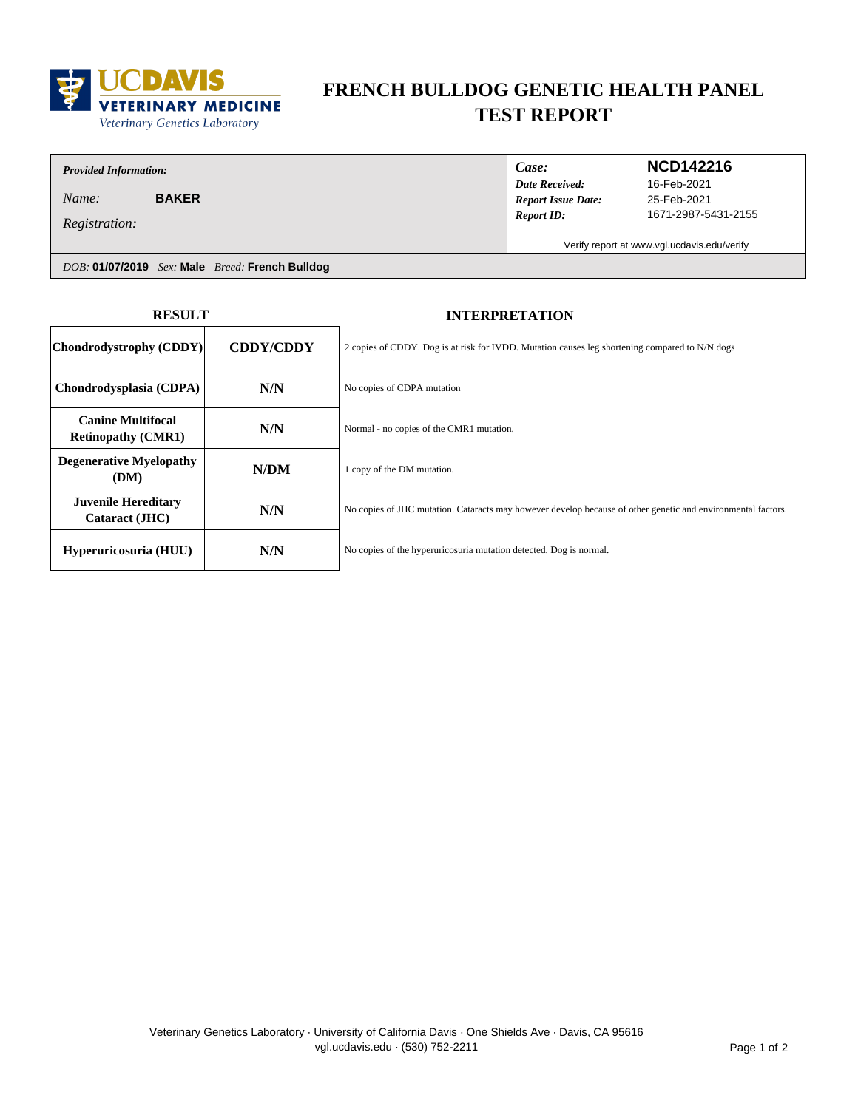

# **FRENCH BULLDOG GENETIC HEALTH PANEL TEST REPORT**

## *Provided Information:*

*Name:* **BAKER**

*Registration:*

*Case:*

### *Date Received: Report ID: Report Issue Date:*

### **NCD142216**

25-Feb-2021 1671-2987-5431-2155 16-Feb-2021

Verify report at www.vgl.ucdavis.edu/verify

*DOB:* **01/07/2019** *Sex:* **Male** *Breed:* **French Bulldog**

| <b>RESULT</b>                                         |                  | <b>INTERPRETATION</b>                                                                                        |
|-------------------------------------------------------|------------------|--------------------------------------------------------------------------------------------------------------|
| Chondrodystrophy (CDDY)                               | <b>CDDY/CDDY</b> | 2 copies of CDDY. Dog is at risk for IVDD. Mutation causes leg shortening compared to N/N dogs               |
| Chondrodysplasia (CDPA)                               | N/N              | No copies of CDPA mutation                                                                                   |
| <b>Canine Multifocal</b><br><b>Retinopathy (CMR1)</b> | N/N              | Normal - no copies of the CMR1 mutation.                                                                     |
| <b>Degenerative Myelopathy</b><br>(DM)                | N/DM             | 1 copy of the DM mutation.                                                                                   |
| <b>Juvenile Hereditary</b><br>Cataract (JHC)          | N/N              | No copies of JHC mutation. Cataracts may however develop because of other genetic and environmental factors. |
| Hyperuricosuria (HUU)                                 | N/N              | No copies of the hyperuricosuria mutation detected. Dog is normal.                                           |